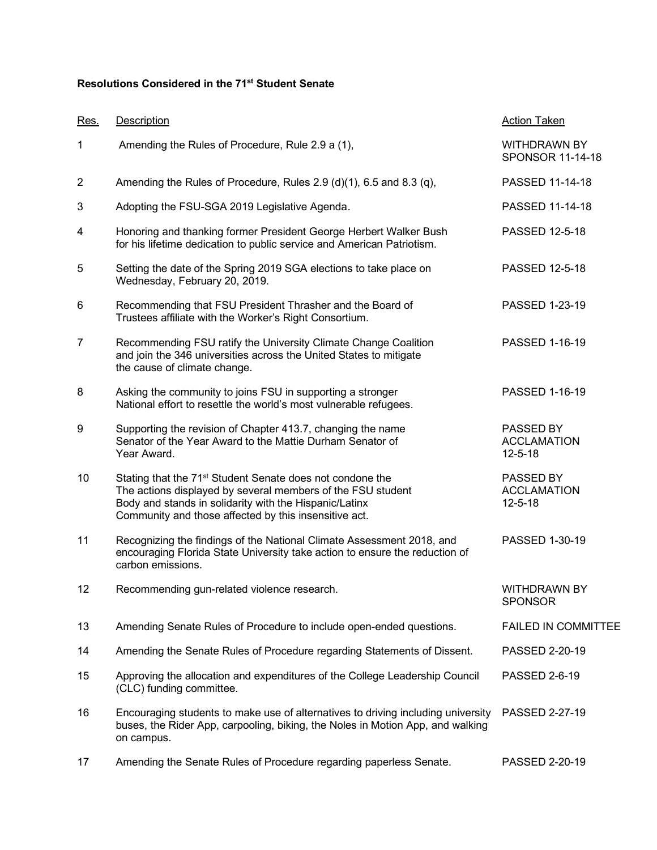## **Resolutions Considered in the 71st Student Senate**

| Res.           | <b>Description</b>                                                                                                                                                                                                                                      | <b>Action Taken</b>                              |
|----------------|---------------------------------------------------------------------------------------------------------------------------------------------------------------------------------------------------------------------------------------------------------|--------------------------------------------------|
| 1              | Amending the Rules of Procedure, Rule 2.9 a (1),                                                                                                                                                                                                        | <b>WITHDRAWN BY</b><br>SPONSOR 11-14-18          |
| $\overline{2}$ | Amending the Rules of Procedure, Rules 2.9 (d)(1), 6.5 and 8.3 (q),                                                                                                                                                                                     | PASSED 11-14-18                                  |
| 3              | Adopting the FSU-SGA 2019 Legislative Agenda.                                                                                                                                                                                                           | PASSED 11-14-18                                  |
| 4              | Honoring and thanking former President George Herbert Walker Bush<br>for his lifetime dedication to public service and American Patriotism.                                                                                                             | PASSED 12-5-18                                   |
| 5              | Setting the date of the Spring 2019 SGA elections to take place on<br>Wednesday, February 20, 2019.                                                                                                                                                     | PASSED 12-5-18                                   |
| 6              | Recommending that FSU President Thrasher and the Board of<br>Trustees affiliate with the Worker's Right Consortium.                                                                                                                                     | PASSED 1-23-19                                   |
| 7              | Recommending FSU ratify the University Climate Change Coalition<br>and join the 346 universities across the United States to mitigate<br>the cause of climate change.                                                                                   | PASSED 1-16-19                                   |
| 8              | Asking the community to joins FSU in supporting a stronger<br>National effort to resettle the world's most vulnerable refugees.                                                                                                                         | PASSED 1-16-19                                   |
| 9              | Supporting the revision of Chapter 413.7, changing the name<br>Senator of the Year Award to the Mattie Durham Senator of<br>Year Award.                                                                                                                 | PASSED BY<br><b>ACCLAMATION</b><br>$12 - 5 - 18$ |
| 10             | Stating that the 71 <sup>st</sup> Student Senate does not condone the<br>The actions displayed by several members of the FSU student<br>Body and stands in solidarity with the Hispanic/Latinx<br>Community and those affected by this insensitive act. | PASSED BY<br><b>ACCLAMATION</b><br>$12 - 5 - 18$ |
| 11             | Recognizing the findings of the National Climate Assessment 2018, and<br>encouraging Florida State University take action to ensure the reduction of<br>carbon emissions.                                                                               | PASSED 1-30-19                                   |
| 12             | Recommending gun-related violence research.                                                                                                                                                                                                             | <b>WITHDRAWN BY</b><br><b>SPONSOR</b>            |
| 13             | Amending Senate Rules of Procedure to include open-ended questions.                                                                                                                                                                                     | <b>FAILED IN COMMITTEE</b>                       |
| 14             | Amending the Senate Rules of Procedure regarding Statements of Dissent.                                                                                                                                                                                 | PASSED 2-20-19                                   |
| 15             | Approving the allocation and expenditures of the College Leadership Council<br>(CLC) funding committee.                                                                                                                                                 | PASSED 2-6-19                                    |
| 16             | Encouraging students to make use of alternatives to driving including university<br>buses, the Rider App, carpooling, biking, the Noles in Motion App, and walking<br>on campus.                                                                        | PASSED 2-27-19                                   |
| 17             | Amending the Senate Rules of Procedure regarding paperless Senate.                                                                                                                                                                                      | PASSED 2-20-19                                   |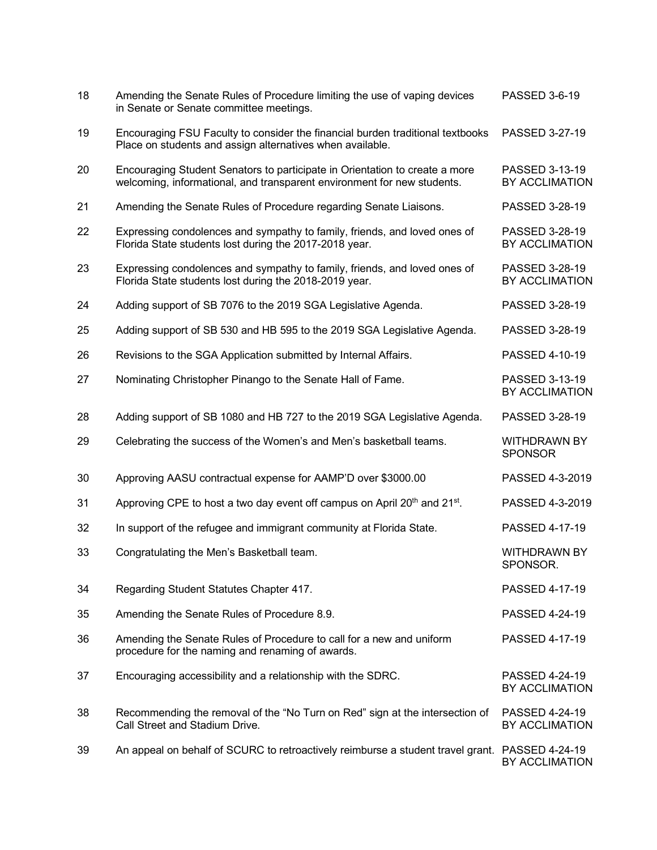| 18 | Amending the Senate Rules of Procedure limiting the use of vaping devices<br>in Senate or Senate committee meetings.                                   | PASSED 3-6-19                         |
|----|--------------------------------------------------------------------------------------------------------------------------------------------------------|---------------------------------------|
| 19 | Encouraging FSU Faculty to consider the financial burden traditional textbooks<br>Place on students and assign alternatives when available.            | PASSED 3-27-19                        |
| 20 | Encouraging Student Senators to participate in Orientation to create a more<br>welcoming, informational, and transparent environment for new students. | PASSED 3-13-19<br>BY ACCLIMATION      |
| 21 | Amending the Senate Rules of Procedure regarding Senate Liaisons.                                                                                      | PASSED 3-28-19                        |
| 22 | Expressing condolences and sympathy to family, friends, and loved ones of<br>Florida State students lost during the 2017-2018 year.                    | PASSED 3-28-19<br>BY ACCLIMATION      |
| 23 | Expressing condolences and sympathy to family, friends, and loved ones of<br>Florida State students lost during the 2018-2019 year.                    | PASSED 3-28-19<br>BY ACCLIMATION      |
| 24 | Adding support of SB 7076 to the 2019 SGA Legislative Agenda.                                                                                          | PASSED 3-28-19                        |
| 25 | Adding support of SB 530 and HB 595 to the 2019 SGA Legislative Agenda.                                                                                | PASSED 3-28-19                        |
| 26 | Revisions to the SGA Application submitted by Internal Affairs.                                                                                        | PASSED 4-10-19                        |
| 27 | Nominating Christopher Pinango to the Senate Hall of Fame.                                                                                             | PASSED 3-13-19<br>BY ACCLIMATION      |
| 28 | Adding support of SB 1080 and HB 727 to the 2019 SGA Legislative Agenda.                                                                               | PASSED 3-28-19                        |
| 29 | Celebrating the success of the Women's and Men's basketball teams.                                                                                     | <b>WITHDRAWN BY</b><br><b>SPONSOR</b> |
| 30 | Approving AASU contractual expense for AAMP'D over \$3000.00                                                                                           | PASSED 4-3-2019                       |
| 31 | Approving CPE to host a two day event off campus on April 20 <sup>th</sup> and 21 <sup>st</sup> .                                                      | PASSED 4-3-2019                       |
| 32 | In support of the refugee and immigrant community at Florida State.                                                                                    | PASSED 4-17-19                        |
| 33 | Congratulating the Men's Basketball team.                                                                                                              | <b>WITHDRAWN BY</b><br>SPONSOR.       |
| 34 | Regarding Student Statutes Chapter 417.                                                                                                                | PASSED 4-17-19                        |
| 35 | Amending the Senate Rules of Procedure 8.9.                                                                                                            | PASSED 4-24-19                        |
| 36 | Amending the Senate Rules of Procedure to call for a new and uniform<br>procedure for the naming and renaming of awards.                               | PASSED 4-17-19                        |
| 37 | Encouraging accessibility and a relationship with the SDRC.                                                                                            | PASSED 4-24-19<br>BY ACCLIMATION      |
| 38 | Recommending the removal of the "No Turn on Red" sign at the intersection of<br>Call Street and Stadium Drive.                                         | PASSED 4-24-19<br>BY ACCLIMATION      |
| 39 | An appeal on behalf of SCURC to retroactively reimburse a student travel grant. PASSED 4-24-19                                                         | BY ACCLIMATION                        |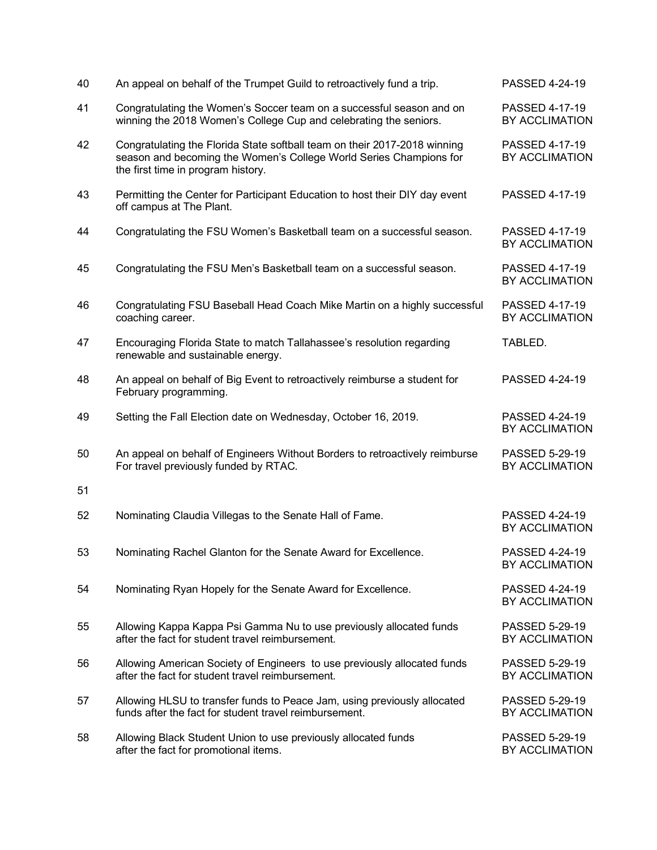| 40 | An appeal on behalf of the Trumpet Guild to retroactively fund a trip.                                                                                                                | PASSED 4-24-19                   |
|----|---------------------------------------------------------------------------------------------------------------------------------------------------------------------------------------|----------------------------------|
| 41 | Congratulating the Women's Soccer team on a successful season and on<br>winning the 2018 Women's College Cup and celebrating the seniors.                                             | PASSED 4-17-19<br>BY ACCLIMATION |
| 42 | Congratulating the Florida State softball team on their 2017-2018 winning<br>season and becoming the Women's College World Series Champions for<br>the first time in program history. | PASSED 4-17-19<br>BY ACCLIMATION |
| 43 | Permitting the Center for Participant Education to host their DIY day event<br>off campus at The Plant.                                                                               | PASSED 4-17-19                   |
| 44 | Congratulating the FSU Women's Basketball team on a successful season.                                                                                                                | PASSED 4-17-19<br>BY ACCLIMATION |
| 45 | Congratulating the FSU Men's Basketball team on a successful season.                                                                                                                  | PASSED 4-17-19<br>BY ACCLIMATION |
| 46 | Congratulating FSU Baseball Head Coach Mike Martin on a highly successful<br>coaching career.                                                                                         | PASSED 4-17-19<br>BY ACCLIMATION |
| 47 | Encouraging Florida State to match Tallahassee's resolution regarding<br>renewable and sustainable energy.                                                                            | TABLED.                          |
| 48 | An appeal on behalf of Big Event to retroactively reimburse a student for<br>February programming.                                                                                    | PASSED 4-24-19                   |
| 49 | Setting the Fall Election date on Wednesday, October 16, 2019.                                                                                                                        | PASSED 4-24-19<br>BY ACCLIMATION |
| 50 | An appeal on behalf of Engineers Without Borders to retroactively reimburse<br>For travel previously funded by RTAC.                                                                  | PASSED 5-29-19<br>BY ACCLIMATION |
| 51 |                                                                                                                                                                                       |                                  |
| 52 | Nominating Claudia Villegas to the Senate Hall of Fame.                                                                                                                               | PASSED 4-24-19<br>BY ACCLIMATION |
| 53 | Nominating Rachel Glanton for the Senate Award for Excellence.                                                                                                                        | PASSED 4-24-19<br>BY ACCLIMATION |
| 54 | Nominating Ryan Hopely for the Senate Award for Excellence.                                                                                                                           | PASSED 4-24-19<br>BY ACCLIMATION |
| 55 | Allowing Kappa Kappa Psi Gamma Nu to use previously allocated funds<br>after the fact for student travel reimbursement.                                                               | PASSED 5-29-19<br>BY ACCLIMATION |
| 56 | Allowing American Society of Engineers to use previously allocated funds<br>after the fact for student travel reimbursement.                                                          | PASSED 5-29-19<br>BY ACCLIMATION |
| 57 | Allowing HLSU to transfer funds to Peace Jam, using previously allocated<br>funds after the fact for student travel reimbursement.                                                    | PASSED 5-29-19<br>BY ACCLIMATION |
| 58 | Allowing Black Student Union to use previously allocated funds<br>after the fact for promotional items.                                                                               | PASSED 5-29-19<br>BY ACCLIMATION |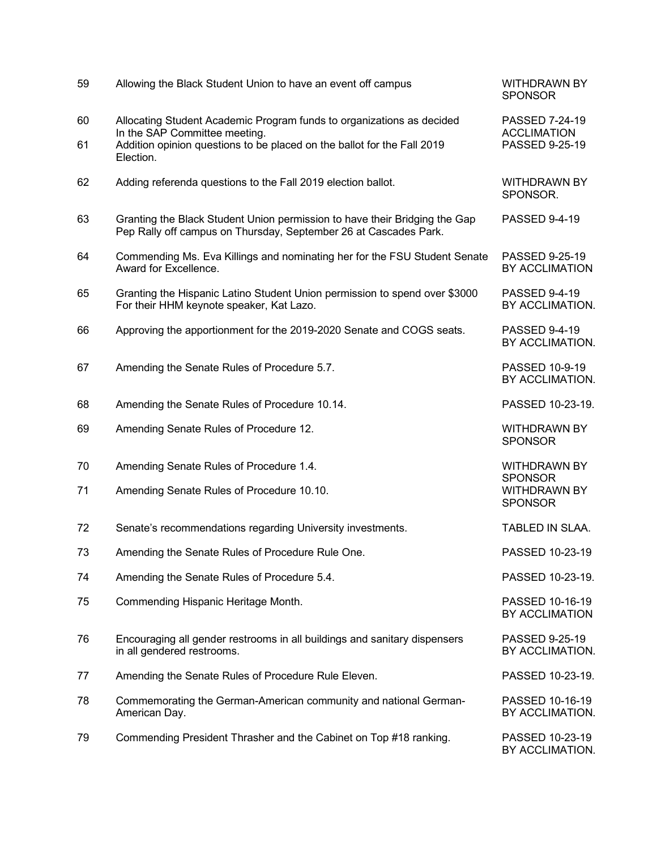| 59       | Allowing the Black Student Union to have an event off campus                                                                                                                      | <b>WITHDRAWN BY</b><br><b>SPONSOR</b>                   |
|----------|-----------------------------------------------------------------------------------------------------------------------------------------------------------------------------------|---------------------------------------------------------|
| 60<br>61 | Allocating Student Academic Program funds to organizations as decided<br>In the SAP Committee meeting.<br>Addition opinion questions to be placed on the ballot for the Fall 2019 | PASSED 7-24-19<br><b>ACCLIMATION</b><br>PASSED 9-25-19  |
|          | Election.                                                                                                                                                                         |                                                         |
| 62       | Adding referenda questions to the Fall 2019 election ballot.                                                                                                                      | <b>WITHDRAWN BY</b><br>SPONSOR.                         |
| 63       | Granting the Black Student Union permission to have their Bridging the Gap<br>Pep Rally off campus on Thursday, September 26 at Cascades Park.                                    | PASSED 9-4-19                                           |
| 64       | Commending Ms. Eva Killings and nominating her for the FSU Student Senate<br>Award for Excellence.                                                                                | PASSED 9-25-19<br>BY ACCLIMATION                        |
| 65       | Granting the Hispanic Latino Student Union permission to spend over \$3000<br>For their HHM keynote speaker, Kat Lazo.                                                            | <b>PASSED 9-4-19</b><br>BY ACCLIMATION.                 |
| 66       | Approving the apportionment for the 2019-2020 Senate and COGS seats.                                                                                                              | <b>PASSED 9-4-19</b><br>BY ACCLIMATION.                 |
| 67       | Amending the Senate Rules of Procedure 5.7.                                                                                                                                       | PASSED 10-9-19<br>BY ACCLIMATION.                       |
| 68       | Amending the Senate Rules of Procedure 10.14.                                                                                                                                     | PASSED 10-23-19.                                        |
| 69       | Amending Senate Rules of Procedure 12.                                                                                                                                            | <b>WITHDRAWN BY</b><br><b>SPONSOR</b>                   |
| 70       | Amending Senate Rules of Procedure 1.4.                                                                                                                                           | <b>WITHDRAWN BY</b>                                     |
| 71       | Amending Senate Rules of Procedure 10.10.                                                                                                                                         | <b>SPONSOR</b><br><b>WITHDRAWN BY</b><br><b>SPONSOR</b> |
| 72       | Senate's recommendations regarding University investments.                                                                                                                        | TABLED IN SLAA.                                         |
| 73       | Amending the Senate Rules of Procedure Rule One.                                                                                                                                  | PASSED 10-23-19                                         |
| 74       | Amending the Senate Rules of Procedure 5.4.                                                                                                                                       | PASSED 10-23-19.                                        |
| 75       | Commending Hispanic Heritage Month.                                                                                                                                               | PASSED 10-16-19<br>BY ACCLIMATION                       |
| 76       | Encouraging all gender restrooms in all buildings and sanitary dispensers<br>in all gendered restrooms.                                                                           | PASSED 9-25-19<br>BY ACCLIMATION.                       |
| 77       | Amending the Senate Rules of Procedure Rule Eleven.                                                                                                                               | PASSED 10-23-19.                                        |
| 78       | Commemorating the German-American community and national German-<br>American Day.                                                                                                 | PASSED 10-16-19<br>BY ACCLIMATION.                      |
| 79       | Commending President Thrasher and the Cabinet on Top #18 ranking.                                                                                                                 | PASSED 10-23-19<br>BY ACCLIMATION.                      |